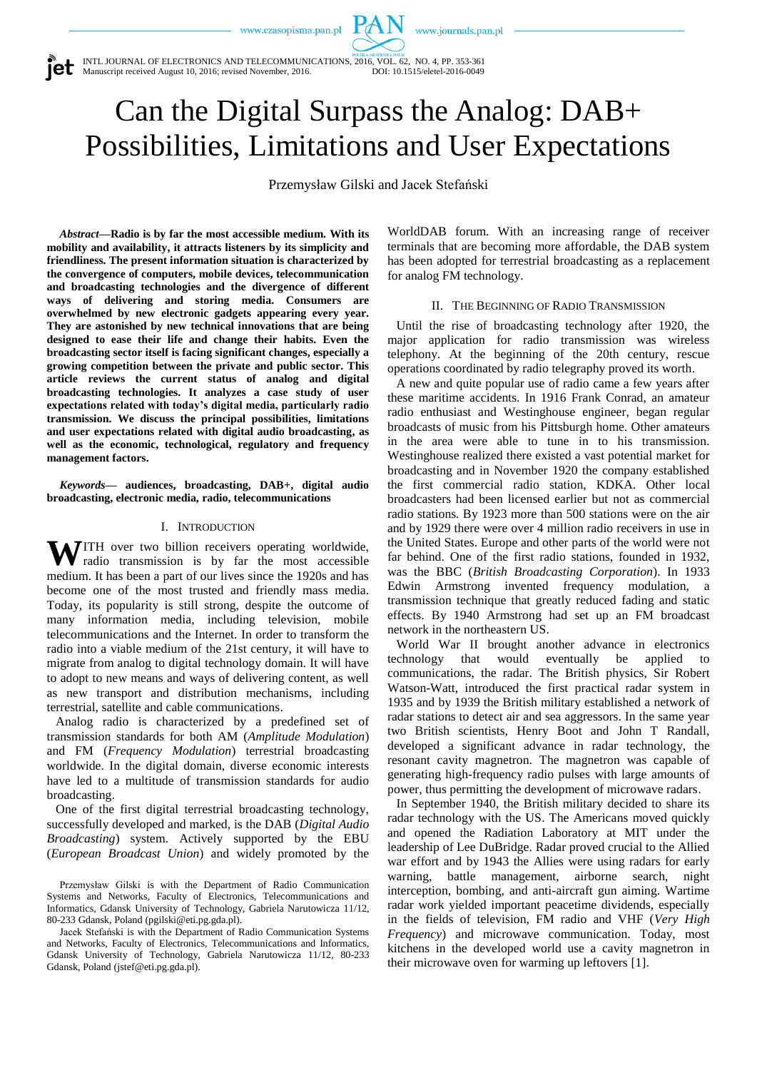www.journals.pan.pl

INTL JOURNAL OF ELECTRONICS AND TELECOMMUNICATIONS, 2016, VOL. 62, NO. 4, PP. 353-361 Manuscript received August 10, 2016; revised November, 2016. DOI: 10.1515/eletel-2016-0049

# Can the Digital Surpass the Analog: DAB+ Possibilities, Limitations and User Expectations

PAN

Przemysław Gilski and Jacek Stefański

*Abstract***—Radio is by far the most accessible medium. With its mobility and availability, it attracts listeners by its simplicity and friendliness. The present information situation is characterized by the convergence of computers, mobile devices, telecommunication and broadcasting technologies and the divergence of different ways of delivering and storing media. Consumers are overwhelmed by new electronic gadgets appearing every year. They are astonished by new technical innovations that are being designed to ease their life and change their habits. Even the broadcasting sector itself is facing significant changes, especially a growing competition between the private and public sector. This article reviews the current status of analog and digital broadcasting technologies. It analyzes a case study of user expectations related with today's digital media, particularly radio transmission. We discuss the principal possibilities, limitations and user expectations related with digital audio broadcasting, as well as the economic, technological, regulatory and frequency management factors.**

*Keywords***— audiences, broadcasting, DAB+, digital audio broadcasting, electronic media, radio, telecommunications**

## I. INTRODUCTION

ITH over two billion receivers operating worldwide, WITH over two billion receivers operating worldwide, radio transmission is by far the most accessible medium. It has been a part of our lives since the 1920s and has become one of the most trusted and friendly mass media. Today, its popularity is still strong, despite the outcome of many information media, including television, mobile telecommunications and the Internet. In order to transform the radio into a viable medium of the 21st century, it will have to migrate from analog to digital technology domain. It will have to adopt to new means and ways of delivering content, as well as new transport and distribution mechanisms, including terrestrial, satellite and cable communications.

Analog radio is characterized by a predefined set of transmission standards for both AM (*Amplitude Modulation*) and FM (*Frequency Modulation*) terrestrial broadcasting worldwide. In the digital domain, diverse economic interests have led to a multitude of transmission standards for audio broadcasting.

One of the first digital terrestrial broadcasting technology, successfully developed and marked, is the DAB (*Digital Audio Broadcasting*) system. Actively supported by the EBU (*European Broadcast Union*) and widely promoted by the

Przemysław Gilski is with the Department of Radio Communication Systems and Networks, Faculty of Electronics, Telecommunications and Informatics, Gdansk University of Technology, Gabriela Narutowicza 11/12, 80-233 Gdansk, Poland (pgilski@eti.pg.gda.pl).

Jacek Stefański is with the Department of Radio Communication Systems and Networks, Faculty of Electronics, Telecommunications and Informatics, Gdansk University of Technology, Gabriela Narutowicza 11/12, 80-233 Gdansk, Poland (jstef@eti.pg.gda.pl).

WorldDAB forum. With an increasing range of receiver terminals that are becoming more affordable, the DAB system has been adopted for terrestrial broadcasting as a replacement for analog FM technology.

#### II. THE BEGINNING OF RADIO TRANSMISSION

Until the rise of broadcasting technology after 1920, the major application for radio transmission was wireless telephony. At the beginning of the 20th century, rescue operations coordinated by radio telegraphy proved its worth.

A new and quite popular use of radio came a few years after these maritime accidents. In 1916 Frank Conrad, an amateur radio enthusiast and Westinghouse engineer, began regular broadcasts of music from his Pittsburgh home. Other amateurs in the area were able to tune in to his transmission. Westinghouse realized there existed a vast potential market for broadcasting and in November 1920 the company established the first commercial radio station, KDKA. Other local broadcasters had been licensed earlier but not as commercial radio stations. By 1923 more than 500 stations were on the air and by 1929 there were over 4 million radio receivers in use in the United States. Europe and other parts of the world were not far behind. One of the first radio stations, founded in 1932, was the BBC (*British Broadcasting Corporation*). In 1933 Edwin Armstrong invented frequency modulation, a transmission technique that greatly reduced fading and static effects. By 1940 Armstrong had set up an FM broadcast network in the northeastern US.

World War II brought another advance in electronics technology that would eventually be applied to communications, the radar. The British physics, Sir Robert Watson-Watt, introduced the first practical radar system in 1935 and by 1939 the British military established a network of radar stations to detect air and sea aggressors. In the same year two British scientists, Henry Boot and John T Randall, developed a significant advance in radar technology, the resonant cavity magnetron. The magnetron was capable of generating high-frequency radio pulses with large amounts of power, thus permitting the development of microwave radars.

In September 1940, the British military decided to share its radar technology with the US. The Americans moved quickly and opened the Radiation Laboratory at MIT under the leadership of Lee DuBridge. Radar proved crucial to the Allied war effort and by 1943 the Allies were using radars for early warning, battle management, airborne search, night interception, bombing, and anti-aircraft gun aiming. Wartime radar work yielded important peacetime dividends, especially in the fields of television, FM radio and VHF (*Very High Frequency*) and microwave communication. Today, most kitchens in the developed world use a cavity magnetron in their microwave oven for warming up leftovers [1].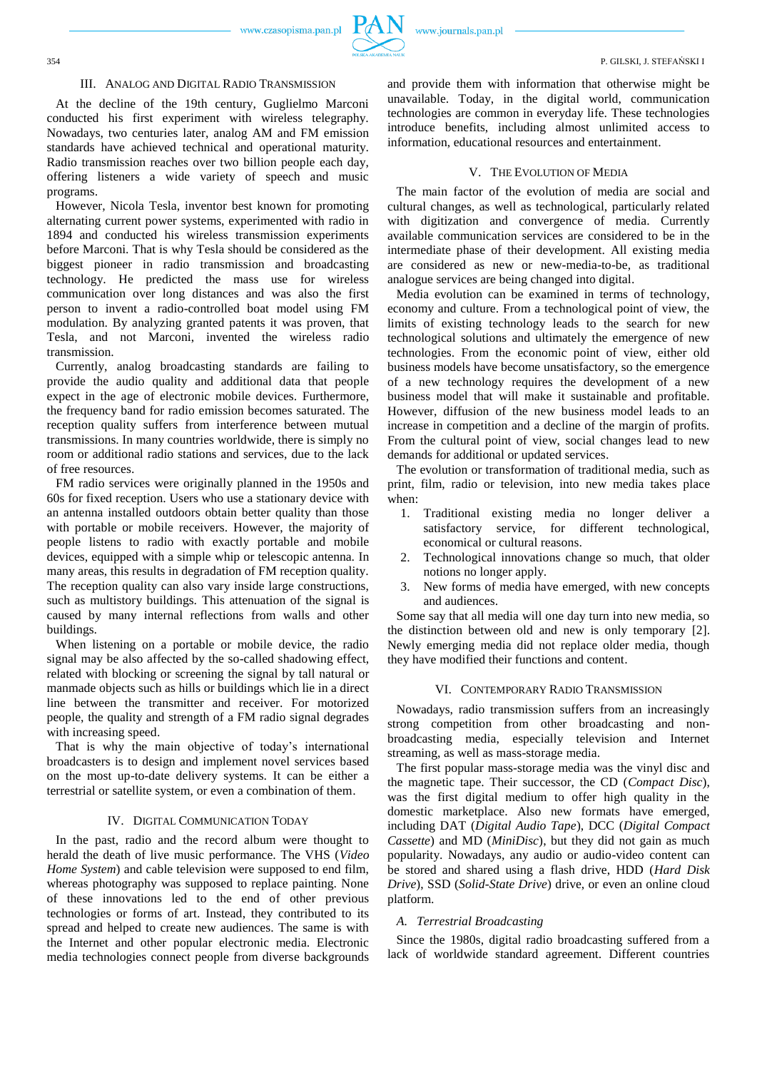

www.journals.pan.pl

#### III. ANALOG AND DIGITAL RADIO TRANSMISSION

At the decline of the 19th century, Guglielmo Marconi conducted his first experiment with wireless telegraphy. Nowadays, two centuries later, analog AM and FM emission standards have achieved technical and operational maturity. Radio transmission reaches over two billion people each day, offering listeners a wide variety of speech and music programs.

However, Nicola Tesla, inventor best known for promoting alternating current power systems, experimented with radio in 1894 and conducted his wireless transmission experiments before Marconi. That is why Tesla should be considered as the biggest pioneer in radio transmission and broadcasting technology. He predicted the mass use for wireless communication over long distances and was also the first person to invent a radio-controlled boat model using FM modulation. By analyzing granted patents it was proven, that Tesla, and not Marconi, invented the wireless radio transmission.

Currently, analog broadcasting standards are failing to provide the audio quality and additional data that people expect in the age of electronic mobile devices. Furthermore, the frequency band for radio emission becomes saturated. The reception quality suffers from interference between mutual transmissions. In many countries worldwide, there is simply no room or additional radio stations and services, due to the lack of free resources.

FM radio services were originally planned in the 1950s and 60s for fixed reception. Users who use a stationary device with an antenna installed outdoors obtain better quality than those with portable or mobile receivers. However, the majority of people listens to radio with exactly portable and mobile devices, equipped with a simple whip or telescopic antenna. In many areas, this results in degradation of FM reception quality. The reception quality can also vary inside large constructions, such as multistory buildings. This attenuation of the signal is caused by many internal reflections from walls and other buildings.

When listening on a portable or mobile device, the radio signal may be also affected by the so-called shadowing effect, related with blocking or screening the signal by tall natural or manmade objects such as hills or buildings which lie in a direct line between the transmitter and receiver. For motorized people, the quality and strength of a FM radio signal degrades with increasing speed.

That is why the main objective of today's international broadcasters is to design and implement novel services based on the most up-to-date delivery systems. It can be either a terrestrial or satellite system, or even a combination of them.

## IV. DIGITAL COMMUNICATION TODAY

In the past, radio and the record album were thought to herald the death of live music performance. The VHS (*Video Home System*) and cable television were supposed to end film, whereas photography was supposed to replace painting. None of these innovations led to the end of other previous technologies or forms of art. Instead, they contributed to its spread and helped to create new audiences. The same is with the Internet and other popular electronic media. Electronic media technologies connect people from diverse backgrounds

and provide them with information that otherwise might be unavailable. Today, in the digital world, communication technologies are common in everyday life. These technologies introduce benefits, including almost unlimited access to information, educational resources and entertainment.

## V. THE EVOLUTION OF MEDIA

The main factor of the evolution of media are social and cultural changes, as well as technological, particularly related with digitization and convergence of media. Currently available communication services are considered to be in the intermediate phase of their development. All existing media are considered as new or new-media-to-be, as traditional analogue services are being changed into digital.

Media evolution can be examined in terms of technology, economy and culture. From a technological point of view, the limits of existing technology leads to the search for new technological solutions and ultimately the emergence of new technologies. From the economic point of view, either old business models have become unsatisfactory, so the emergence of a new technology requires the development of a new business model that will make it sustainable and profitable. However, diffusion of the new business model leads to an increase in competition and a decline of the margin of profits. From the cultural point of view, social changes lead to new demands for additional or updated services.

The evolution or transformation of traditional media, such as print, film, radio or television, into new media takes place when:

- 1. Traditional existing media no longer deliver a satisfactory service, for different technological, economical or cultural reasons.
- 2. Technological innovations change so much, that older notions no longer apply.
- 3. New forms of media have emerged, with new concepts and audiences.

Some say that all media will one day turn into new media, so the distinction between old and new is only temporary [2]. Newly emerging media did not replace older media, though they have modified their functions and content.

#### VI. CONTEMPORARY RADIO TRANSMISSION

Nowadays, radio transmission suffers from an increasingly strong competition from other broadcasting and nonbroadcasting media, especially television and Internet streaming, as well as mass-storage media.

The first popular mass-storage media was the vinyl disc and the magnetic tape. Their successor, the CD (*Compact Disc*), was the first digital medium to offer high quality in the domestic marketplace. Also new formats have emerged, including DAT (*Digital Audio Tape*), DCC (*Digital Compact Cassette*) and MD (*MiniDisc*), but they did not gain as much popularity. Nowadays, any audio or audio-video content can be stored and shared using a flash drive, HDD (*Hard Disk Drive*), SSD (*Solid-State Drive*) drive, or even an online cloud platform.

## *A. Terrestrial Broadcasting*

Since the 1980s, digital radio broadcasting suffered from a lack of worldwide standard agreement. Different countries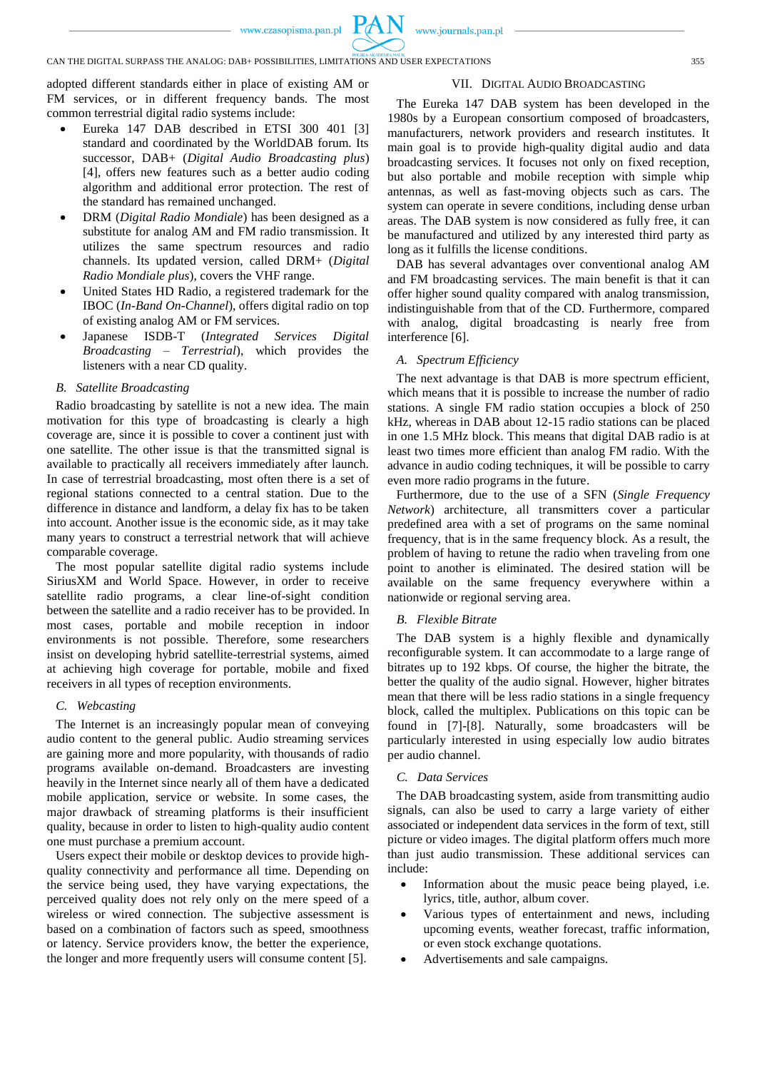## CAN THE DIGITAL SURPASS THE ANALOG: DAB+ POSSIBILITIES, LIMITATIONS AND USER EXPECTATIONS 355

adopted different standards either in place of existing AM or FM services, or in different frequency bands. The most common terrestrial digital radio systems include:

- Eureka 147 DAB described in ETSI 300 401 [3] standard and coordinated by the WorldDAB forum. Its successor, DAB+ (*Digital Audio Broadcasting plus*) [4], offers new features such as a better audio coding algorithm and additional error protection. The rest of the standard has remained unchanged.
- DRM (*Digital Radio Mondiale*) has been designed as a substitute for analog AM and FM radio transmission. It utilizes the same spectrum resources and radio channels. Its updated version, called DRM+ (*Digital Radio Mondiale plus*), covers the VHF range.
- United States HD Radio, a registered trademark for the IBOC (*In-Band On-Channel*), offers digital radio on top of existing analog AM or FM services.
- Japanese ISDB-T (*Integrated Services Digital Broadcasting – Terrestrial*), which provides the listeners with a near CD quality.

## *B. Satellite Broadcasting*

Radio broadcasting by satellite is not a new idea. The main motivation for this type of broadcasting is clearly a high coverage are, since it is possible to cover a continent just with one satellite. The other issue is that the transmitted signal is available to practically all receivers immediately after launch. In case of terrestrial broadcasting, most often there is a set of regional stations connected to a central station. Due to the difference in distance and landform, a delay fix has to be taken into account. Another issue is the economic side, as it may take many years to construct a terrestrial network that will achieve comparable coverage.

The most popular satellite digital radio systems include SiriusXM and World Space. However, in order to receive satellite radio programs, a clear line-of-sight condition between the satellite and a radio receiver has to be provided. In most cases, portable and mobile reception in indoor environments is not possible. Therefore, some researchers insist on developing hybrid satellite-terrestrial systems, aimed at achieving high coverage for portable, mobile and fixed receivers in all types of reception environments.

## *C. Webcasting*

The Internet is an increasingly popular mean of conveying audio content to the general public. Audio streaming services are gaining more and more popularity, with thousands of radio programs available on-demand. Broadcasters are investing heavily in the Internet since nearly all of them have a dedicated mobile application, service or website. In some cases, the major drawback of streaming platforms is their insufficient quality, because in order to listen to high-quality audio content one must purchase a premium account.

Users expect their mobile or desktop devices to provide highquality connectivity and performance all time. Depending on the service being used, they have varying expectations, the perceived quality does not rely only on the mere speed of a wireless or wired connection. The subjective assessment is based on a combination of factors such as speed, smoothness or latency. Service providers know, the better the experience, the longer and more frequently users will consume content [5].

## VII. DIGITAL AUDIO BROADCASTING

The Eureka 147 DAB system has been developed in the 1980s by a European consortium composed of broadcasters, manufacturers, network providers and research institutes. It main goal is to provide high-quality digital audio and data broadcasting services. It focuses not only on fixed reception, but also portable and mobile reception with simple whip antennas, as well as fast-moving objects such as cars. The system can operate in severe conditions, including dense urban areas. The DAB system is now considered as fully free, it can be manufactured and utilized by any interested third party as long as it fulfills the license conditions.

DAB has several advantages over conventional analog AM and FM broadcasting services. The main benefit is that it can offer higher sound quality compared with analog transmission, indistinguishable from that of the CD. Furthermore, compared with analog, digital broadcasting is nearly free from interference [6].

#### *A. Spectrum Efficiency*

The next advantage is that DAB is more spectrum efficient, which means that it is possible to increase the number of radio stations. A single FM radio station occupies a block of 250 kHz, whereas in DAB about 12-15 radio stations can be placed in one 1.5 MHz block. This means that digital DAB radio is at least two times more efficient than analog FM radio. With the advance in audio coding techniques, it will be possible to carry even more radio programs in the future.

Furthermore, due to the use of a SFN (*Single Frequency Network*) architecture, all transmitters cover a particular predefined area with a set of programs on the same nominal frequency, that is in the same frequency block. As a result, the problem of having to retune the radio when traveling from one point to another is eliminated. The desired station will be available on the same frequency everywhere within a nationwide or regional serving area.

### *B. Flexible Bitrate*

The DAB system is a highly flexible and dynamically reconfigurable system. It can accommodate to a large range of bitrates up to 192 kbps. Of course, the higher the bitrate, the better the quality of the audio signal. However, higher bitrates mean that there will be less radio stations in a single frequency block, called the multiplex. Publications on this topic can be found in [7]-[8]. Naturally, some broadcasters will be particularly interested in using especially low audio bitrates per audio channel.

### *C. Data Services*

The DAB broadcasting system, aside from transmitting audio signals, can also be used to carry a large variety of either associated or independent data services in the form of text, still picture or video images. The digital platform offers much more than just audio transmission. These additional services can include:

- Information about the music peace being played, i.e. lyrics, title, author, album cover.
- Various types of entertainment and news, including upcoming events, weather forecast, traffic information, or even stock exchange quotations.
- Advertisements and sale campaigns.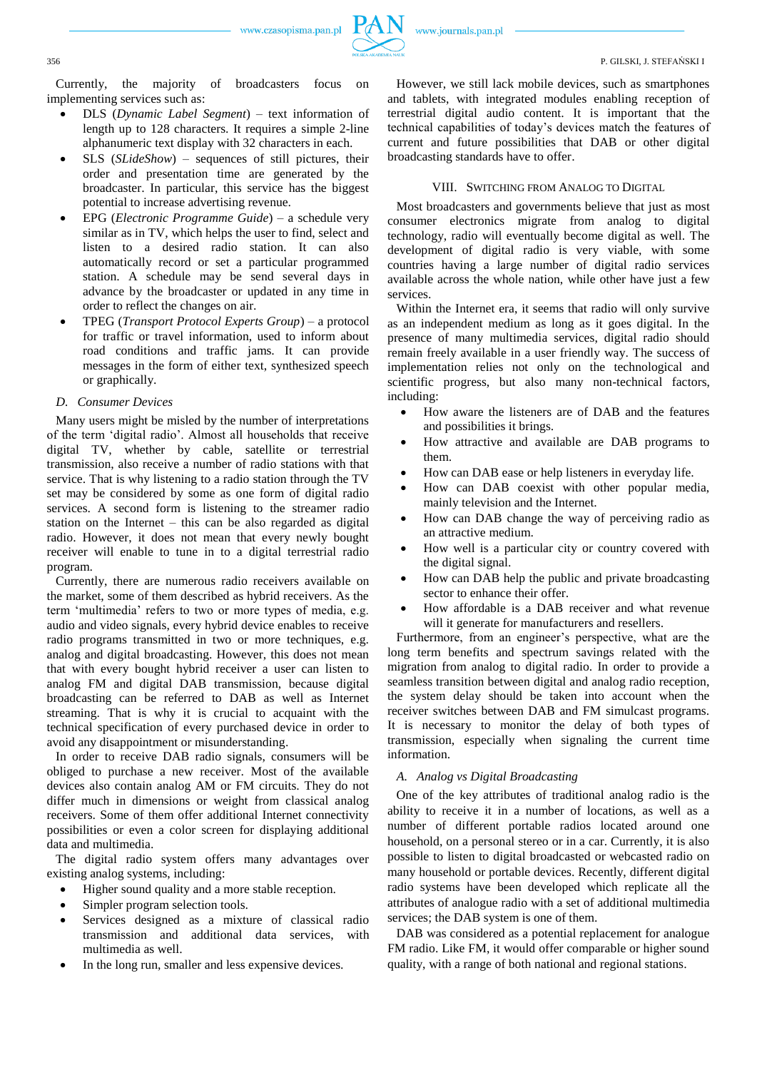

www.journals.pan.pl

Currently, the majority of broadcasters focus on implementing services such as:

- DLS (*Dynamic Label Segment*) text information of length up to 128 characters. It requires a simple 2-line alphanumeric text display with 32 characters in each.
- SLS (*SLideShow*) sequences of still pictures, their order and presentation time are generated by the broadcaster. In particular, this service has the biggest potential to increase advertising revenue.
- EPG (*Electronic Programme Guide*) a schedule very similar as in TV, which helps the user to find, select and listen to a desired radio station. It can also automatically record or set a particular programmed station. A schedule may be send several days in advance by the broadcaster or updated in any time in order to reflect the changes on air.
- TPEG (*Transport Protocol Experts Group*) a protocol for traffic or travel information, used to inform about road conditions and traffic jams. It can provide messages in the form of either text, synthesized speech or graphically.

## *D. Consumer Devices*

Many users might be misled by the number of interpretations of the term 'digital radio'. Almost all households that receive digital TV, whether by cable, satellite or terrestrial transmission, also receive a number of radio stations with that service. That is why listening to a radio station through the TV set may be considered by some as one form of digital radio services. A second form is listening to the streamer radio station on the Internet – this can be also regarded as digital radio. However, it does not mean that every newly bought receiver will enable to tune in to a digital terrestrial radio program.

Currently, there are numerous radio receivers available on the market, some of them described as hybrid receivers. As the term 'multimedia' refers to two or more types of media, e.g. audio and video signals, every hybrid device enables to receive radio programs transmitted in two or more techniques, e.g. analog and digital broadcasting. However, this does not mean that with every bought hybrid receiver a user can listen to analog FM and digital DAB transmission, because digital broadcasting can be referred to DAB as well as Internet streaming. That is why it is crucial to acquaint with the technical specification of every purchased device in order to avoid any disappointment or misunderstanding.

In order to receive DAB radio signals, consumers will be obliged to purchase a new receiver. Most of the available devices also contain analog AM or FM circuits. They do not differ much in dimensions or weight from classical analog receivers. Some of them offer additional Internet connectivity possibilities or even a color screen for displaying additional data and multimedia.

The digital radio system offers many advantages over existing analog systems, including:

- Higher sound quality and a more stable reception.
- Simpler program selection tools.
- Services designed as a mixture of classical radio transmission and additional data services, with multimedia as well.
- In the long run, smaller and less expensive devices.

However, we still lack mobile devices, such as smartphones and tablets, with integrated modules enabling reception of terrestrial digital audio content. It is important that the technical capabilities of today's devices match the features of current and future possibilities that DAB or other digital broadcasting standards have to offer.

## VIII. SWITCHING FROM ANALOG TO DIGITAL

Most broadcasters and governments believe that just as most consumer electronics migrate from analog to digital technology, radio will eventually become digital as well. The development of digital radio is very viable, with some countries having a large number of digital radio services available across the whole nation, while other have just a few services.

Within the Internet era, it seems that radio will only survive as an independent medium as long as it goes digital. In the presence of many multimedia services, digital radio should remain freely available in a user friendly way. The success of implementation relies not only on the technological and scientific progress, but also many non-technical factors, including:

- How aware the listeners are of DAB and the features and possibilities it brings.
- How attractive and available are DAB programs to them.
- How can DAB ease or help listeners in everyday life.
- How can DAB coexist with other popular media, mainly television and the Internet.
- How can DAB change the way of perceiving radio as an attractive medium.
- How well is a particular city or country covered with the digital signal.
- How can DAB help the public and private broadcasting sector to enhance their offer.
- How affordable is a DAB receiver and what revenue will it generate for manufacturers and resellers.

Furthermore, from an engineer's perspective, what are the long term benefits and spectrum savings related with the migration from analog to digital radio. In order to provide a seamless transition between digital and analog radio reception, the system delay should be taken into account when the receiver switches between DAB and FM simulcast programs. It is necessary to monitor the delay of both types of transmission, especially when signaling the current time information.

# *A. Analog vs Digital Broadcasting*

One of the key attributes of traditional analog radio is the ability to receive it in a number of locations, as well as a number of different portable radios located around one household, on a personal stereo or in a car. Currently, it is also possible to listen to digital broadcasted or webcasted radio on many household or portable devices. Recently, different digital radio systems have been developed which replicate all the attributes of analogue radio with a set of additional multimedia services; the DAB system is one of them.

DAB was considered as a potential replacement for analogue FM radio. Like FM, it would offer comparable or higher sound quality, with a range of both national and regional stations.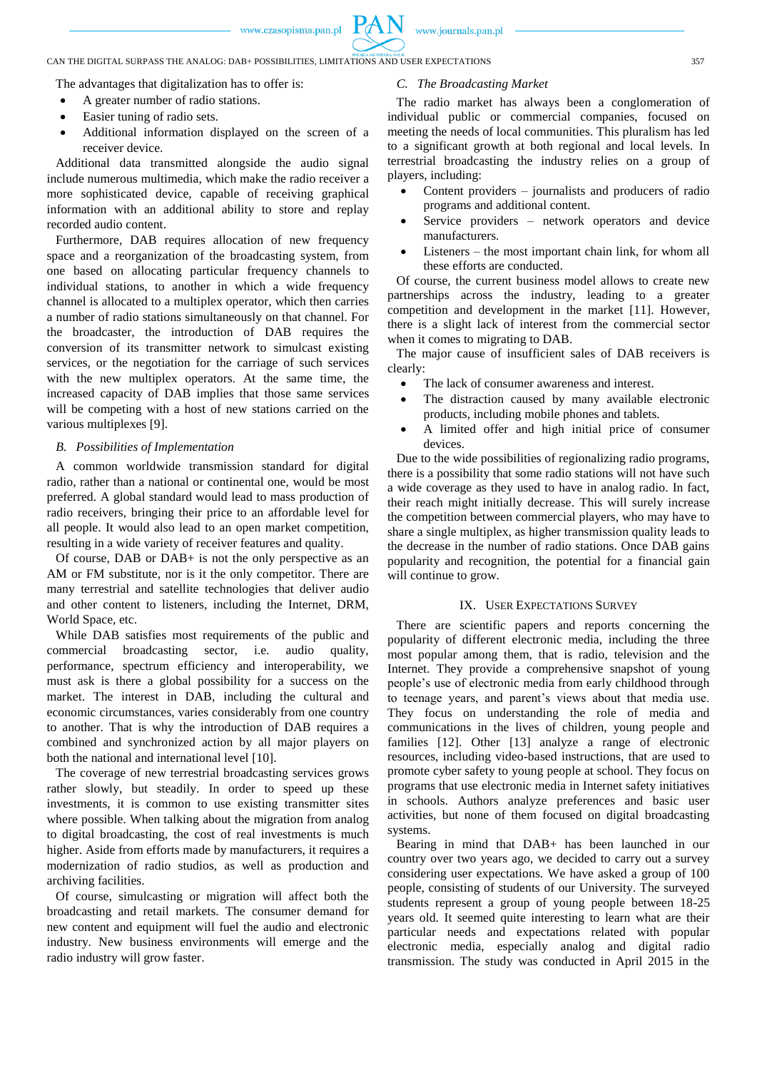**PAN** 

CAN THE DIGITAL SURPASS THE ANALOG: DAB+ POSSIBILITIES, LIMITATIONS AND USER EXPECTATIONS 357

The advantages that digitalization has to offer is:

- A greater number of radio stations.
- Easier tuning of radio sets.
- Additional information displayed on the screen of a receiver device.

Additional data transmitted alongside the audio signal include numerous multimedia, which make the radio receiver a more sophisticated device, capable of receiving graphical information with an additional ability to store and replay recorded audio content.

Furthermore, DAB requires allocation of new frequency space and a reorganization of the broadcasting system, from one based on allocating particular frequency channels to individual stations, to another in which a wide frequency channel is allocated to a multiplex operator, which then carries a number of radio stations simultaneously on that channel. For the broadcaster, the introduction of DAB requires the conversion of its transmitter network to simulcast existing services, or the negotiation for the carriage of such services with the new multiplex operators. At the same time, the increased capacity of DAB implies that those same services will be competing with a host of new stations carried on the various multiplexes [9].

## *B. Possibilities of Implementation*

A common worldwide transmission standard for digital radio, rather than a national or continental one, would be most preferred. A global standard would lead to mass production of radio receivers, bringing their price to an affordable level for all people. It would also lead to an open market competition, resulting in a wide variety of receiver features and quality.

Of course, DAB or DAB+ is not the only perspective as an AM or FM substitute, nor is it the only competitor. There are many terrestrial and satellite technologies that deliver audio and other content to listeners, including the Internet, DRM, World Space, etc.

While DAB satisfies most requirements of the public and commercial broadcasting sector, i.e. audio quality, performance, spectrum efficiency and interoperability, we must ask is there a global possibility for a success on the market. The interest in DAB, including the cultural and economic circumstances, varies considerably from one country to another. That is why the introduction of DAB requires a combined and synchronized action by all major players on both the national and international level [10].

The coverage of new terrestrial broadcasting services grows rather slowly, but steadily. In order to speed up these investments, it is common to use existing transmitter sites where possible. When talking about the migration from analog to digital broadcasting, the cost of real investments is much higher. Aside from efforts made by manufacturers, it requires a modernization of radio studios, as well as production and archiving facilities.

Of course, simulcasting or migration will affect both the broadcasting and retail markets. The consumer demand for new content and equipment will fuel the audio and electronic industry. New business environments will emerge and the radio industry will grow faster.

## *C. The Broadcasting Market*

The radio market has always been a conglomeration of individual public or commercial companies, focused on meeting the needs of local communities. This pluralism has led to a significant growth at both regional and local levels. In terrestrial broadcasting the industry relies on a group of players, including:

- Content providers journalists and producers of radio programs and additional content.
- Service providers network operators and device manufacturers.
- Listeners the most important chain link, for whom all these efforts are conducted.

Of course, the current business model allows to create new partnerships across the industry, leading to a greater competition and development in the market [11]. However, there is a slight lack of interest from the commercial sector when it comes to migrating to DAB.

The major cause of insufficient sales of DAB receivers is clearly:

- The lack of consumer awareness and interest.
- The distraction caused by many available electronic products, including mobile phones and tablets.
- A limited offer and high initial price of consumer devices.

Due to the wide possibilities of regionalizing radio programs, there is a possibility that some radio stations will not have such a wide coverage as they used to have in analog radio. In fact, their reach might initially decrease. This will surely increase the competition between commercial players, who may have to share a single multiplex, as higher transmission quality leads to the decrease in the number of radio stations. Once DAB gains popularity and recognition, the potential for a financial gain will continue to grow.

## IX. USER EXPECTATIONS SURVEY

There are scientific papers and reports concerning the popularity of different electronic media, including the three most popular among them, that is radio, television and the Internet. They provide a comprehensive snapshot of young people's use of electronic media from early childhood through to teenage years, and parent's views about that media use. They focus on understanding the role of media and communications in the lives of children, young people and families [12]. Other [13] analyze a range of electronic resources, including video-based instructions, that are used to promote cyber safety to young people at school. They focus on programs that use electronic media in Internet safety initiatives in schools. Authors analyze preferences and basic user activities, but none of them focused on digital broadcasting systems.

Bearing in mind that DAB+ has been launched in our country over two years ago, we decided to carry out a survey considering user expectations. We have asked a group of 100 people, consisting of students of our University. The surveyed students represent a group of young people between 18-25 years old. It seemed quite interesting to learn what are their particular needs and expectations related with popular electronic media, especially analog and digital radio transmission. The study was conducted in April 2015 in the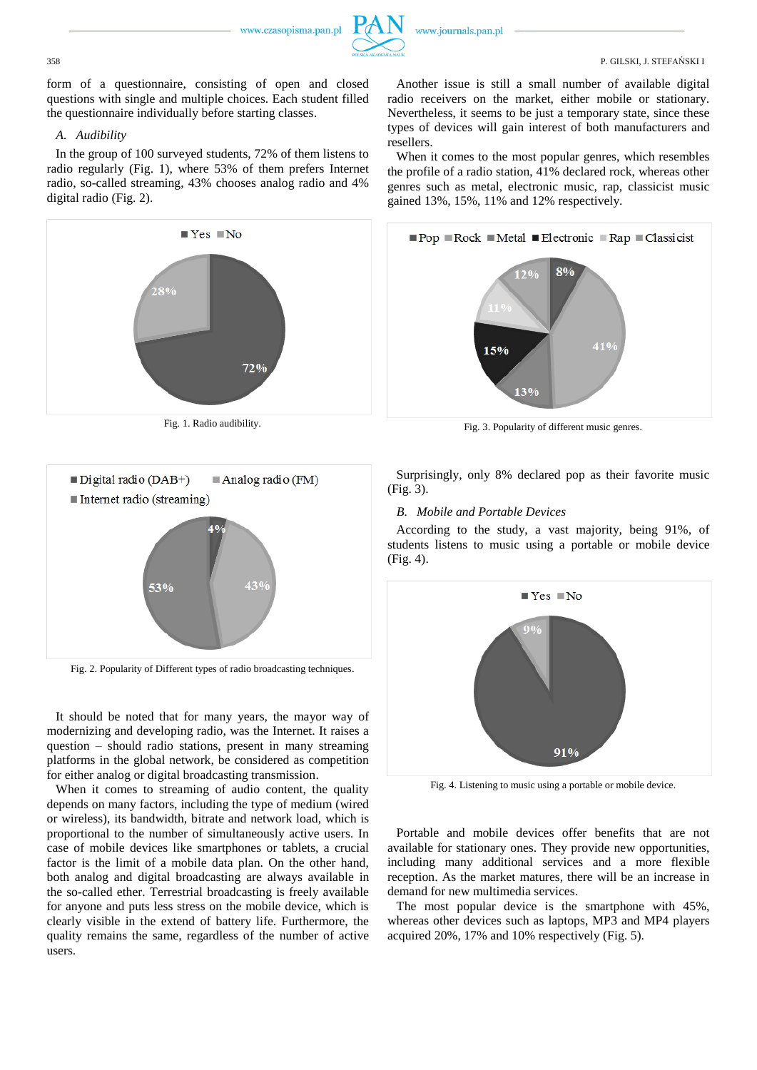

**PRESERVE AND RESERVE AND RESERVE AND RESERVE AND RESERVE AND RESERVE AND RESERVE AND RESERVE AND RESERVE AND RESERVE AND RESERVE AND RESERVE AND RESERVE AND RESERVE AND RESERVE AND RESERVE AND RESERVE AND RESERVE AND RESE** 

form of a questionnaire, consisting of open and closed questions with single and multiple choices. Each student filled the questionnaire individually before starting classes.

## *A. Audibility*

In the group of 100 surveyed students, 72% of them listens to radio regularly (Fig. 1), where 53% of them prefers Internet radio, so-called streaming, 43% chooses analog radio and 4% digital radio (Fig. 2).



Fig. 1. Radio audibility.



Fig. 2. Popularity of Different types of radio broadcasting techniques.

It should be noted that for many years, the mayor way of modernizing and developing radio, was the Internet. It raises a question – should radio stations, present in many streaming platforms in the global network, be considered as competition for either analog or digital broadcasting transmission.

When it comes to streaming of audio content, the quality depends on many factors, including the type of medium (wired or wireless), its bandwidth, bitrate and network load, which is proportional to the number of simultaneously active users. In case of mobile devices like smartphones or tablets, a crucial factor is the limit of a mobile data plan. On the other hand, both analog and digital broadcasting are always available in the so-called ether. Terrestrial broadcasting is freely available for anyone and puts less stress on the mobile device, which is clearly visible in the extend of battery life. Furthermore, the quality remains the same, regardless of the number of active users.

Another issue is still a small number of available digital radio receivers on the market, either mobile or stationary. Nevertheless, it seems to be just a temporary state, since these types of devices will gain interest of both manufacturers and resellers.

When it comes to the most popular genres, which resembles the profile of a radio station, 41% declared rock, whereas other genres such as metal, electronic music, rap, classicist music gained 13%, 15%, 11% and 12% respectively.



Fig. 3. Popularity of different music genres.

Surprisingly, only 8% declared pop as their favorite music (Fig. 3).

## *B. Mobile and Portable Devices*

According to the study, a vast majority, being 91%, of students listens to music using a portable or mobile device (Fig. 4).



Fig. 4. Listening to music using a portable or mobile device.

Portable and mobile devices offer benefits that are not available for stationary ones. They provide new opportunities, including many additional services and a more flexible reception. As the market matures, there will be an increase in demand for new multimedia services.

The most popular device is the smartphone with 45%, whereas other devices such as laptops, MP3 and MP4 players acquired 20%, 17% and 10% respectively (Fig. 5).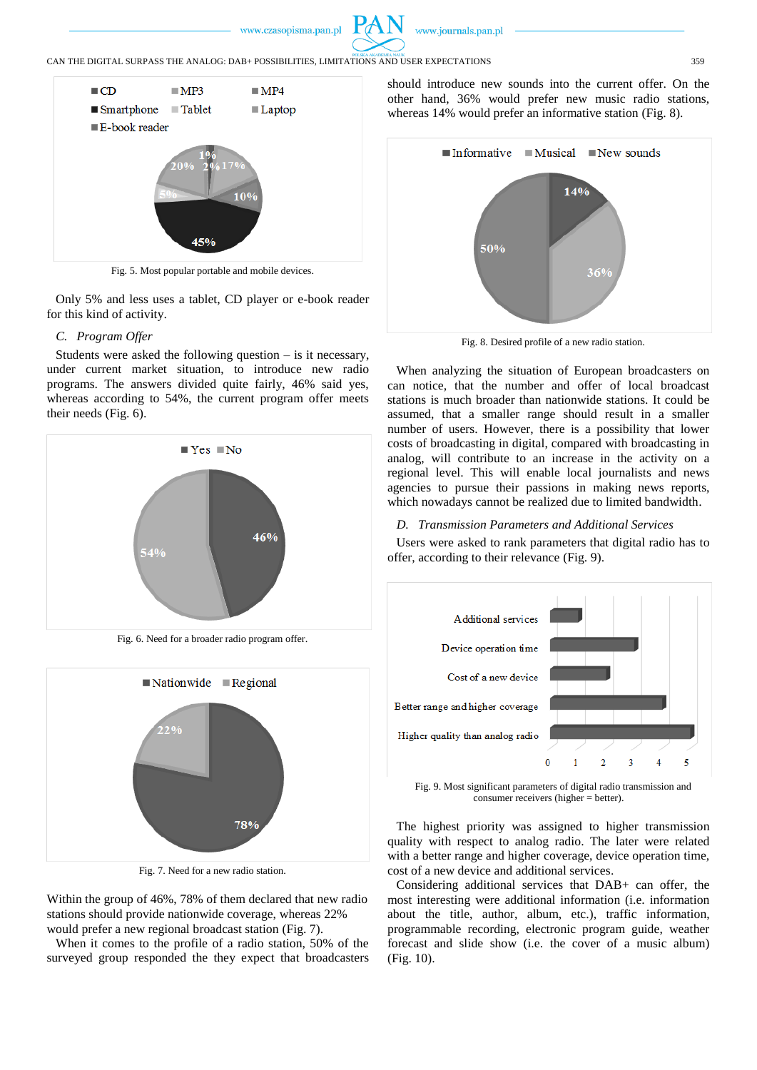

CAN THE DIGITAL SURPASS THE ANALOG: DAB+ POSSIBILITIES, LIMITATIONS AND USER EXPECTATIONS 359



Fig. 5. Most popular portable and mobile devices.

Only 5% and less uses a tablet, CD player or e-book reader for this kind of activity.

# *C. Program Offer*

Students were asked the following question – is it necessary, under current market situation, to introduce new radio programs. The answers divided quite fairly, 46% said yes, whereas according to 54%, the current program offer meets their needs (Fig. 6).



Fig. 6. Need for a broader radio program offer.



Fig. 7. Need for a new radio station.

Within the group of 46%, 78% of them declared that new radio stations should provide nationwide coverage, whereas 22% would prefer a new regional broadcast station (Fig. 7).

When it comes to the profile of a radio station, 50% of the surveyed group responded the they expect that broadcasters

should introduce new sounds into the current offer. On the other hand, 36% would prefer new music radio stations, whereas 14% would prefer an informative station (Fig. 8).



Fig. 8. Desired profile of a new radio station.

When analyzing the situation of European broadcasters on can notice, that the number and offer of local broadcast stations is much broader than nationwide stations. It could be assumed, that a smaller range should result in a smaller number of users. However, there is a possibility that lower costs of broadcasting in digital, compared with broadcasting in analog, will contribute to an increase in the activity on a regional level. This will enable local journalists and news agencies to pursue their passions in making news reports, which nowadays cannot be realized due to limited bandwidth.

# *D. Transmission Parameters and Additional Services*

Users were asked to rank parameters that digital radio has to offer, according to their relevance (Fig. 9).



Fig. 9. Most significant parameters of digital radio transmission and consumer receivers (higher = better).

The highest priority was assigned to higher transmission quality with respect to analog radio. The later were related with a better range and higher coverage, device operation time, cost of a new device and additional services.

Considering additional services that DAB+ can offer, the most interesting were additional information (i.e. information about the title, author, album, etc.), traffic information, programmable recording, electronic program guide, weather forecast and slide show (i.e. the cover of a music album) (Fig. 10).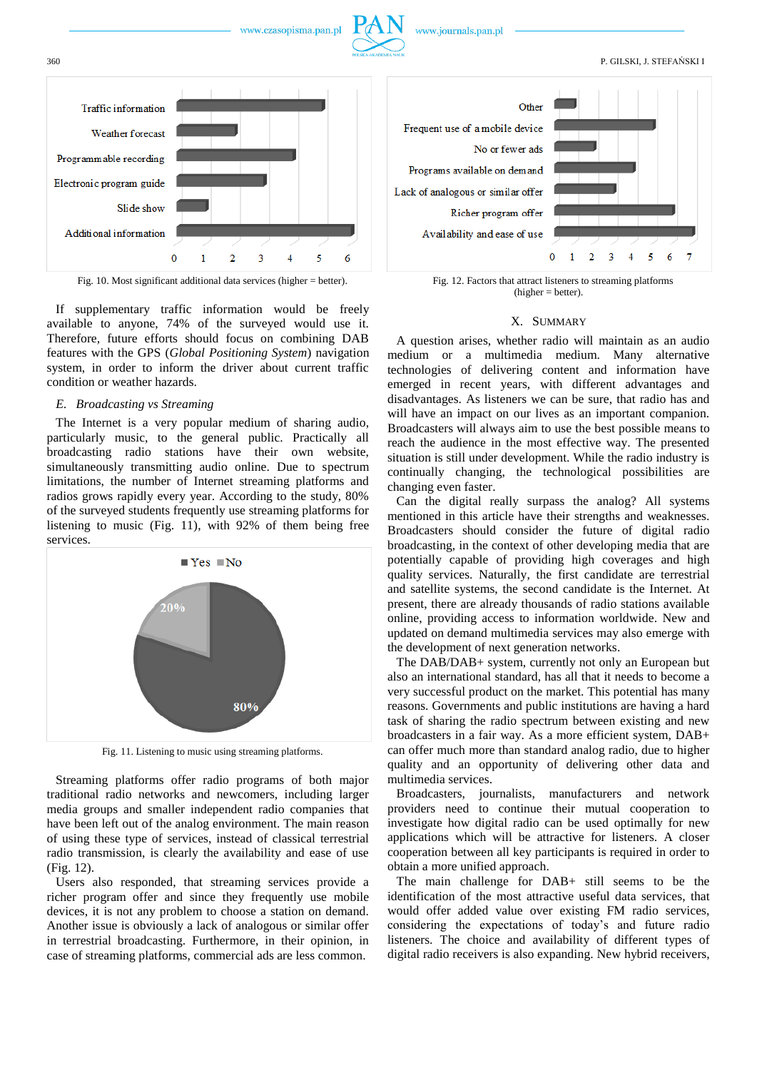

Fig. 10. Most significant additional data services (higher = better).

If supplementary traffic information would be freely available to anyone, 74% of the surveyed would use it. Therefore, future efforts should focus on combining DAB features with the GPS (*Global Positioning System*) navigation system, in order to inform the driver about current traffic condition or weather hazards.

## *E. Broadcasting vs Streaming*

The Internet is a very popular medium of sharing audio, particularly music, to the general public. Practically all broadcasting radio stations have their own website, simultaneously transmitting audio online. Due to spectrum limitations, the number of Internet streaming platforms and radios grows rapidly every year. According to the study, 80% of the surveyed students frequently use streaming platforms for listening to music (Fig. 11), with 92% of them being free services.



Fig. 11. Listening to music using streaming platforms.

Streaming platforms offer radio programs of both major traditional radio networks and newcomers, including larger media groups and smaller independent radio companies that have been left out of the analog environment. The main reason of using these type of services, instead of classical terrestrial radio transmission, is clearly the availability and ease of use (Fig. 12).

Users also responded, that streaming services provide a richer program offer and since they frequently use mobile devices, it is not any problem to choose a station on demand. Another issue is obviously a lack of analogous or similar offer in terrestrial broadcasting. Furthermore, in their opinion, in case of streaming platforms, commercial ads are less common.

Fig. 12. Factors that attract listeners to streaming platforms  $(higher = better)$ .

6 7

#### X. SUMMARY

A question arises, whether radio will maintain as an audio medium or a multimedia medium. Many alternative technologies of delivering content and information have emerged in recent years, with different advantages and disadvantages. As listeners we can be sure, that radio has and will have an impact on our lives as an important companion. Broadcasters will always aim to use the best possible means to reach the audience in the most effective way. The presented situation is still under development. While the radio industry is continually changing, the technological possibilities are changing even faster.

Can the digital really surpass the analog? All systems mentioned in this article have their strengths and weaknesses. Broadcasters should consider the future of digital radio broadcasting, in the context of other developing media that are potentially capable of providing high coverages and high quality services. Naturally, the first candidate are terrestrial and satellite systems, the second candidate is the Internet. At present, there are already thousands of radio stations available online, providing access to information worldwide. New and updated on demand multimedia services may also emerge with the development of next generation networks.

The DAB/DAB+ system, currently not only an European but also an international standard, has all that it needs to become a very successful product on the market. This potential has many reasons. Governments and public institutions are having a hard task of sharing the radio spectrum between existing and new broadcasters in a fair way. As a more efficient system, DAB+ can offer much more than standard analog radio, due to higher quality and an opportunity of delivering other data and multimedia services.

Broadcasters, journalists, manufacturers and network providers need to continue their mutual cooperation to investigate how digital radio can be used optimally for new applications which will be attractive for listeners. A closer cooperation between all key participants is required in order to obtain a more unified approach.

The main challenge for DAB+ still seems to be the identification of the most attractive useful data services, that would offer added value over existing FM radio services, considering the expectations of today's and future radio listeners. The choice and availability of different types of digital radio receivers is also expanding. New hybrid receivers,